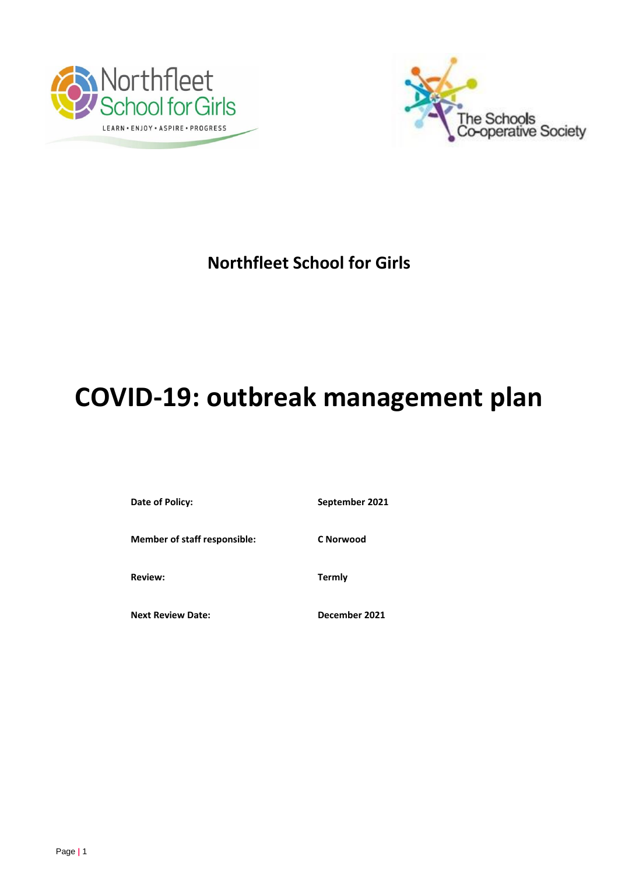



## **Northfleet School for Girls**

# **COVID-19: outbreak management plan**

Date of Policy: September 2021

**Member of staff responsible: C Norwood** 

**Review: Termly** 

**Next Review Date: December 2021**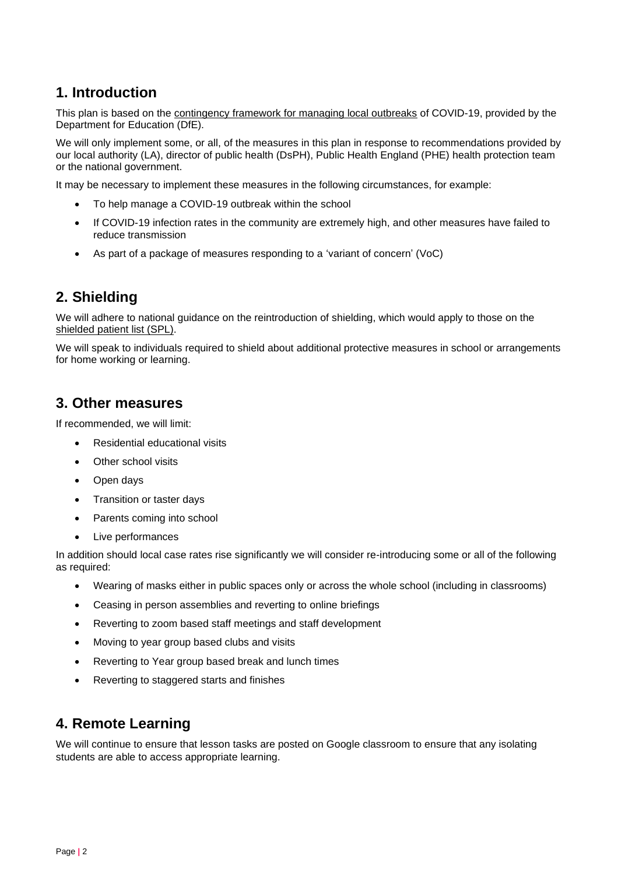## **1. Introduction**

This plan is based on the [contingency framework for managing local outbreaks](https://www.gov.uk/government/publications/coronavirus-covid-19-local-restrictions-in-education-and-childcare-settings) of COVID-19, provided by the Department for Education (DfE).

We will only implement some, or all, of the measures in this plan in response to recommendations provided by our local authority (LA), director of public health (DsPH), Public Health England (PHE) health protection team or the national government.

It may be necessary to implement these measures in the following circumstances, for example:

- To help manage a COVID-19 outbreak within the school
- If COVID-19 infection rates in the community are extremely high, and other measures have failed to reduce transmission
- As part of a package of measures responding to a 'variant of concern' (VoC)

## **2. Shielding**

We will adhere to national guidance on the reintroduction of shielding, which would apply to those on the shielded [patient list \(SPL\).](https://digital.nhs.uk/coronavirus/shielded-patient-list)

We will speak to individuals required to shield about additional protective measures in school or arrangements for home working or learning.

#### **3. Other measures**

If recommended, we will limit:

- Residential educational visits
- Other school visits
- Open days
- Transition or taster days
- Parents coming into school
- Live performances

In addition should local case rates rise significantly we will consider re-introducing some or all of the following as required:

- Wearing of masks either in public spaces only or across the whole school (including in classrooms)
- Ceasing in person assemblies and reverting to online briefings
- Reverting to zoom based staff meetings and staff development
- Moving to year group based clubs and visits
- Reverting to Year group based break and lunch times
- Reverting to staggered starts and finishes

## **4. Remote Learning**

We will continue to ensure that lesson tasks are posted on Google classroom to ensure that any isolating students are able to access appropriate learning.